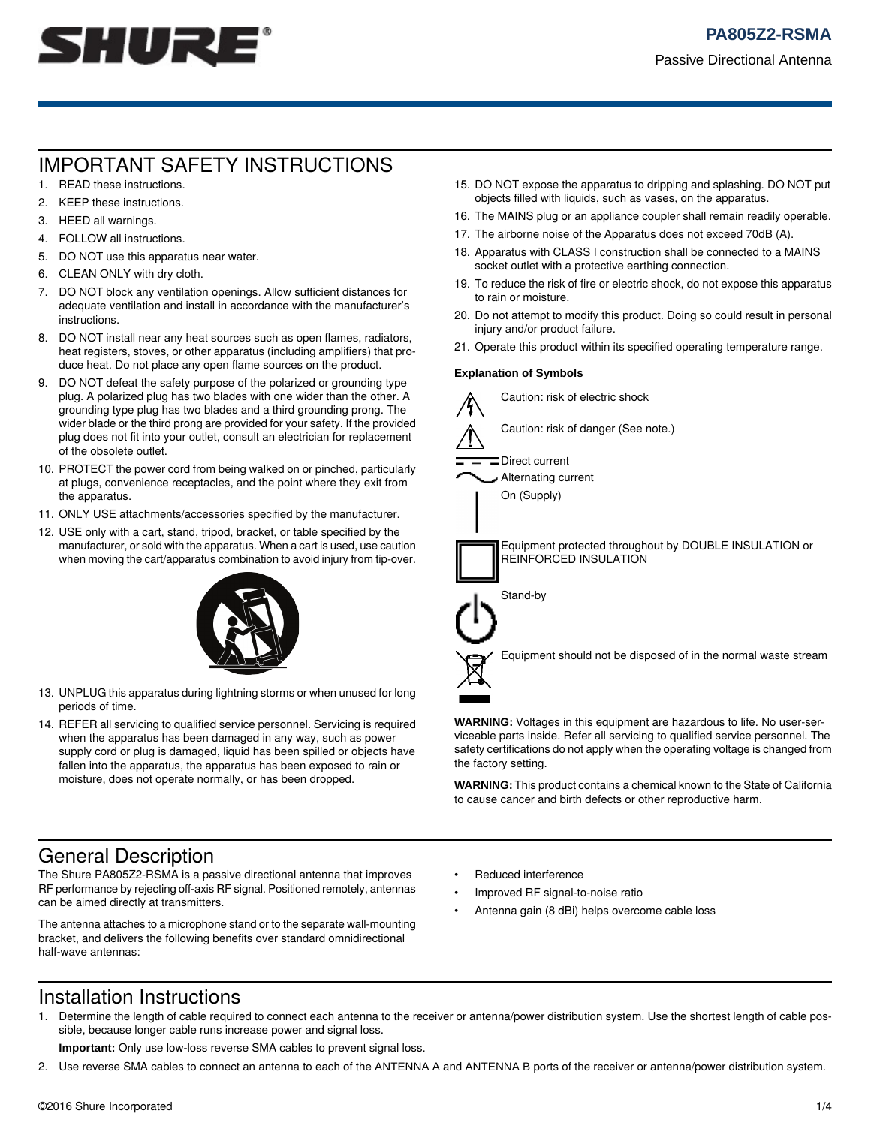

# IMPORTANT SAFETY INSTRUCTIONS

- 1. READ these instructions. 2. KEEP these instructions.
- 3. HEED all warnings.
- 4. FOLLOW all instructions.
- 5. DO NOT use this apparatus near water.
- 6. CLEAN ONLY with dry cloth.
- 7. DO NOT block any ventilation openings. Allow sufficient distances for adequate ventilation and install in accordance with the manufacturer's instructions.
- 8. DO NOT install near any heat sources such as open flames, radiators, heat registers, stoves, or other apparatus (including amplifiers) that produce heat. Do not place any open flame sources on the product.
- 9. DO NOT defeat the safety purpose of the polarized or grounding type plug. A polarized plug has two blades with one wider than the other. A grounding type plug has two blades and a third grounding prong. The wider blade or the third prong are provided for your safety. If the provided plug does not fit into your outlet, consult an electrician for replacement of the obsolete outlet.
- 10. PROTECT the power cord from being walked on or pinched, particularly at plugs, convenience receptacles, and the point where they exit from the apparatus.
- 11. ONLY USE attachments/accessories specified by the manufacturer.
- 12. USE only with a cart, stand, tripod, bracket, or table specified by the manufacturer, or sold with the apparatus. When a cart is used, use caution when moving the cart/apparatus combination to avoid injury from tip-over.



- 13. UNPLUG this apparatus during lightning storms or when unused for long periods of time.
- 14. REFER all servicing to qualified service personnel. Servicing is required when the apparatus has been damaged in any way, such as power supply cord or plug is damaged, liquid has been spilled or objects have fallen into the apparatus, the apparatus has been exposed to rain or moisture, does not operate normally, or has been dropped.
- 15. DO NOT expose the apparatus to dripping and splashing. DO NOT put objects filled with liquids, such as vases, on the apparatus.
- 16. The MAINS plug or an appliance coupler shall remain readily operable.
- 17. The airborne noise of the Apparatus does not exceed 70dB (A).
- 18. Apparatus with CLASS I construction shall be connected to a MAINS socket outlet with a protective earthing connection.
- 19. To reduce the risk of fire or electric shock, do not expose this apparatus to rain or moisture.
- 20. Do not attempt to modify this product. Doing so could result in personal injury and/or product failure.
- 21. Operate this product within its specified operating temperature range.

#### **Explanation of Symbols**



**WARNING:** Voltages in this equipment are hazardous to life. No user-serviceable parts inside. Refer all servicing to qualified service personnel. The safety certifications do not apply when the operating voltage is changed from the factory setting.

**WARNING:** This product contains a chemical known to the State of California to cause cancer and birth defects or other reproductive harm.

## General Description

The Shure PA805Z2-RSMA is a passive directional antenna that improves RF performance by rejecting off-axis RF signal. Positioned remotely, antennas can be aimed directly at transmitters.

The antenna attaches to a microphone stand or to the separate wall-mounting bracket, and delivers the following benefits over standard omnidirectional half-wave antennas:

- Reduced interference
- Improved RF signal-to-noise ratio
- Antenna gain (8 dBi) helps overcome cable loss

### Installation Instructions

1. Determine the length of cable required to connect each antenna to the receiver or antenna/power distribution system. Use the shortest length of cable possible, because longer cable runs increase power and signal loss.

**Important:** Only use low-loss reverse SMA cables to prevent signal loss.

2. Use reverse SMA cables to connect an antenna to each of the ANTENNA A and ANTENNA B ports of the receiver or antenna/power distribution system.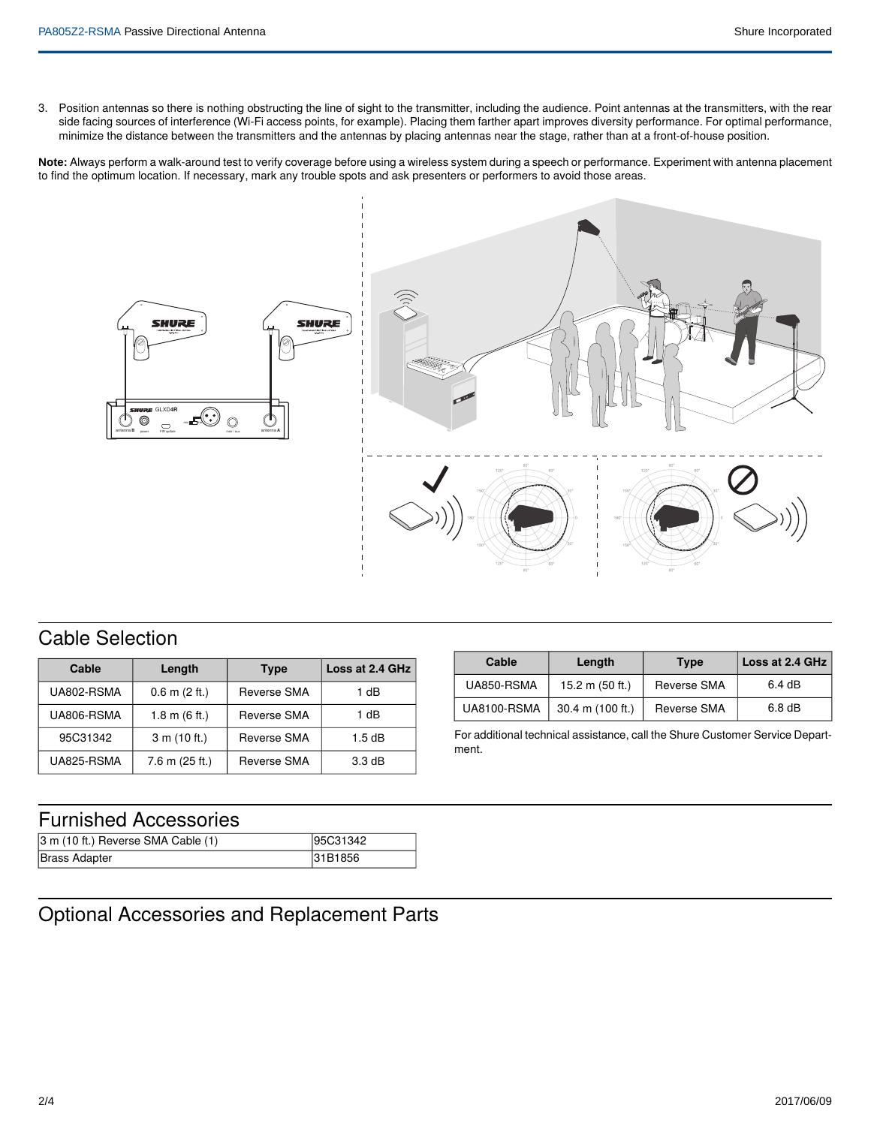3. Position antennas so there is nothing obstructing the line of sight to the transmitter, including the audience. Point antennas at the transmitters, with the rear side facing sources of interference (Wi-Fi access points, for example). Placing them farther apart improves diversity performance. For optimal performance, minimize the distance between the transmitters and the antennas by placing antennas near the stage, rather than at a front-of-house position.

**Note:** Always perform a walk-around test to verify coverage before using a wireless system during a speech or performance. Experiment with antenna placement to find the optimum location. If necessary, mark any trouble spots and ask presenters or performers to avoid those areas.



## Cable Selection

| Cable      | Length                  | <b>Type</b>        | Loss at 2.4 GHz |
|------------|-------------------------|--------------------|-----------------|
| UA802-RSMA | $0.6$ m $(2$ ft.)       | <b>Reverse SMA</b> | 1 dB            |
| UA806-RSMA | 1.8 m $(6 \text{ ft.})$ | <b>Reverse SMA</b> | 1 dB            |
| 95C31342   | 3 m (10 ft.)            | <b>Reverse SMA</b> | 1.5dB           |
| UA825-RSMA | $7.6$ m ( $25$ ft.)     | <b>Reverse SMA</b> | 3.3 dB          |

| Cable              | Length                     | <b>Type</b>        | Loss at 2.4 GHz   |
|--------------------|----------------------------|--------------------|-------------------|
| UA850-RSMA         | 15.2 m (50 ft.)            | Reverse SMA        | 6.4 dB            |
| <b>UA8100-RSMA</b> | $30.4 \text{ m}$ (100 ft.) | <b>Reverse SMA</b> | 6.8 <sub>dB</sub> |

For additional technical assistance, call the Shure Customer Service Department.

## Furnished Accessories

| $ 3 \text{ m}$ (10 ft.) Reverse SMA Cable (1) | 95C31342 |
|-----------------------------------------------|----------|
| Brass Adapter                                 | 31B1856  |

## Optional Accessories and Replacement Parts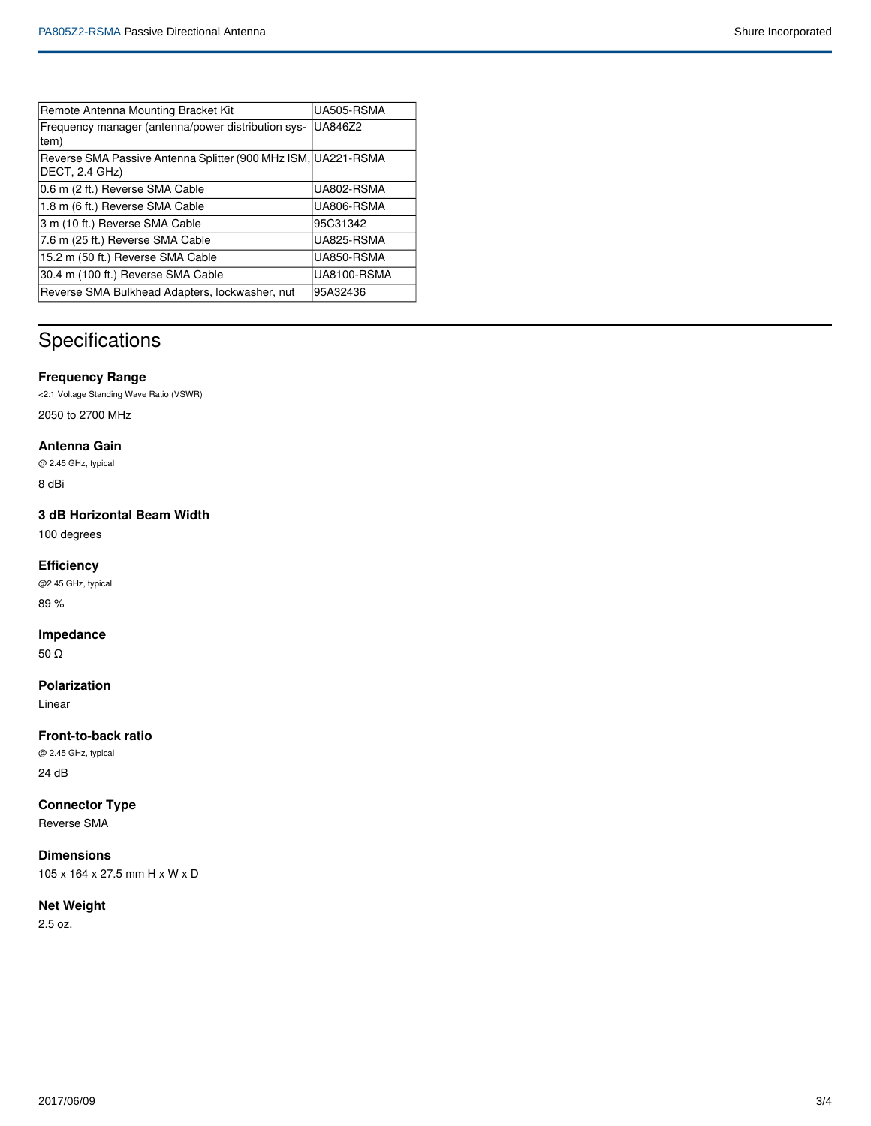| Remote Antenna Mounting Bracket Kit                                             | UA505-RSMA  |
|---------------------------------------------------------------------------------|-------------|
| Frequency manager (antenna/power distribution sys-<br>tem)                      | UA846Z2     |
| Reverse SMA Passive Antenna Splitter (900 MHz ISM, UA221-RSMA<br>DECT, 2.4 GHz) |             |
| 0.6 m (2 ft.) Reverse SMA Cable                                                 | UA802-RSMA  |
| 1.8 m (6 ft.) Reverse SMA Cable                                                 | UA806-RSMA  |
| 3 m (10 ft.) Reverse SMA Cable                                                  | 95C31342    |
| 7.6 m (25 ft.) Reverse SMA Cable                                                | UA825-RSMA  |
| 15.2 m (50 ft.) Reverse SMA Cable                                               | UA850-RSMA  |
| 30.4 m (100 ft.) Reverse SMA Cable                                              | UA8100-RSMA |
| Reverse SMA Bulkhead Adapters, lockwasher, nut                                  | 95A32436    |

# Specifications

#### **Frequency Range**

<2:1 Voltage Standing Wave Ratio (VSWR) 2050 to 2700 MHz

#### **Antenna Gain**

@ 2.45 GHz, typical

8 dBi

### **3 dB Horizontal Beam Width**

100 degrees

#### **Efficiency**

@2.45 GHz, typical 89 %

#### **Impedance**

50 Ω

#### **Polarization**

Linear

#### **Front-to-back ratio**

@ 2.45 GHz, typical

24 dB

**Connector Type**

Reverse SMA

### **Dimensions**

105 x 164 x 27.5 mm H x W x D

#### **Net Weight**

2.5 oz.